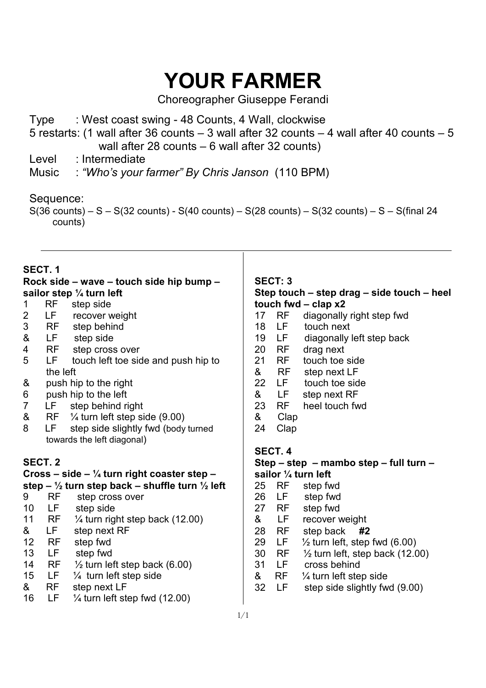# **YOUR FARMER**

Choreographer Giuseppe Ferandi

- Type : West coast swing 48 Counts, 4 Wall, clockwise
- 5 restarts: (1 wall after 36 counts 3 wall after 32 counts 4 wall after 40 counts 5 wall after 28 counts – 6 wall after 32 counts)
- Level : Intermediate
- Music : *"Who's your farmer" By Chris Janson* (110 BPM)

# Sequence:

 $S(36 \text{ counts}) - S - S(32 \text{ counts}) - S(40 \text{ counts}) - S(28 \text{ counts}) - S(32 \text{ counts}) - S - S(final 24$ counts)

# **SECT. 1**

#### **Rock side – wave – touch side hip bump – sailor step ¼ turn left**

- 1 RF step side
- 2 LF recover weight
- 3 RF step behind
- & LF step side
- 4 RF step cross over
- 5 LF touch left toe side and push hip to the left
- & push hip to the right
- 6 push hip to the left
- 7 LF step behind right<br>8 RF  $\frac{1}{4}$  furn left step si
- $\&$  RF  $\frac{1}{4}$  turn left step side (9.00)
- 8 LF step side slightly fwd (body turned towards the left diagonal)

# **SECT. 2**

## **Cross – side – ¼ turn right coaster step – step – ½ turn step back – shuffle turn ½ left**

- 9 RF step cross over 10 LF step side
- 11 RF ¼ turn right step back (12.00)
- & LF step next RF 12 RF step fwd
- 
- 13 LF step fwd
- 14 RF  $\frac{1}{2}$  turn left step back (6.00)
- 15 LF ¼ turn left step side
- & RF step next LF
- 16 LF ¼ turn left step fwd (12.00)

## **SECT: 3**

## **Step touch – step drag – side touch – heel touch fwd – clap x2**

- 17 RF diagonally right step fwd<br>18 LF touch next
- 18 LF touch next
- 19 LF diagonally left step back
- 20 RF drag next
- 21 RF touch toe side
- & RF step next LF
- 22 LF touch toe side
- & LF step next RF
- 23 RF heel touch fwd
- & Clap
- 24 Clap

# **SECT. 4**

#### **Step – step – mambo step – full turn – sailor ¼ turn left**

- 25 RF step fwd
- 26 LF step fwd
- 27 RF step fwd
- & LF recover weight
- 28 RF step back **#2**
- 29 LF  $\frac{1}{2}$  turn left, step fwd (6.00)
- 30 RF ½ turn left, step back (12.00)
- 31 LF cross behind
- & RF ¼ turn left step side
- 32 LF step side slightly fwd (9.00)